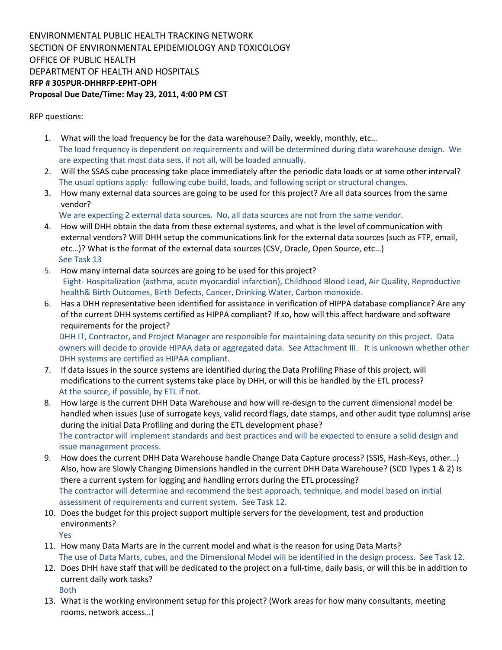ENVIRONMENTAL PUBLIC HEALTH TRACKING NETWORK SECTION OF ENVIRONMENTAL EPIDEMIOLOGY AND TOXICOLOGY OFFICE OF PUBLIC HEALTH DEPARTMENT OF HEALTH AND HOSPITALS RFP # 305PUR-DHHRFP-EPHT-OPH Proposal Due Date/Time: May 23, 2011, 4:00 PM CST

RFP questions:

- 1. What will the load frequency be for the data warehouse? Daily, weekly, monthly, etc… The load frequency is dependent on requirements and will be determined during data warehouse design. We are expecting that most data sets, if not all, will be loaded annually.
- 2. Will the SSAS cube processing take place immediately after the periodic data loads or at some other interval? The usual options apply: following cube build, loads, and following script or structural changes.
- 3. How many external data sources are going to be used for this project? Are all data sources from the same vendor?
	- We are expecting 2 external data sources. No, all data sources are not from the same vendor.
- 4. How will DHH obtain the data from these external systems, and what is the level of communication with external vendors? Will DHH setup the communications link for the external data sources (such as FTP, email, etc…)? What is the format of the external data sources (CSV, Oracle, Open Source, etc…) See Task 13
- 5. How many internal data sources are going to be used for this project? Eight- Hospitalization (asthma, acute myocardial infarction), Childhood Blood Lead, Air Quality, Reproductive health& Birth Outcomes, Birth Defects, Cancer, Drinking Water, Carbon monoxide.
- 6. Has a DHH representative been identified for assistance in verification of HIPPA database compliance? Are any of the current DHH systems certified as HIPPA compliant? If so, how will this affect hardware and software requirements for the project?

DHH IT, Contractor, and Project Manager are responsible for maintaining data security on this project. Data owners will decide to provide HIPAA data or aggregated data. See Attachment III. It is unknown whether other DHH systems are certified as HIPAA compliant.

- 7. If data issues in the source systems are identified during the Data Profiling Phase of this project, will modifications to the current systems take place by DHH, or will this be handled by the ETL process? At the source, if possible, by ETL if not.
- 8. How large is the current DHH Data Warehouse and how will re-design to the current dimensional model be handled when issues (use of surrogate keys, valid record flags, date stamps, and other audit type columns) arise during the initial Data Profiling and during the ETL development phase? The contractor will implement standards and best practices and will be expected to ensure a solid design and issue management process.
- 9. How does the current DHH Data Warehouse handle Change Data Capture process? (SSIS, Hash-Keys, other…) Also, how are Slowly Changing Dimensions handled in the current DHH Data Warehouse? (SCD Types 1 & 2) Is there a current system for logging and handling errors during the ETL processing? The contractor will determine and recommend the best approach, technique, and model based on initial assessment of requirements and current system. See Task 12.
- 10. Does the budget for this project support multiple servers for the development, test and production environments?

Yes

- 11. How many Data Marts are in the current model and what is the reason for using Data Marts? The use of Data Marts, cubes, and the Dimensional Model will be identified in the design process. See Task 12.
- 12. Does DHH have staff that will be dedicated to the project on a full-time, daily basis, or will this be in addition to current daily work tasks? Both
- 13. What is the working environment setup for this project? (Work areas for how many consultants, meeting rooms, network access…)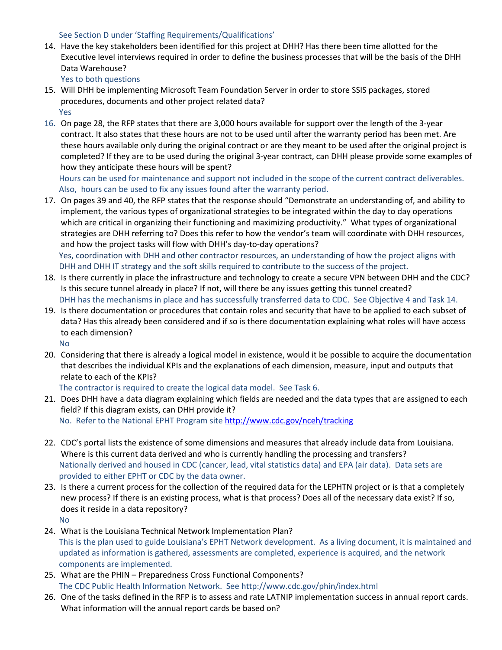## See Section D under 'Staffing Requirements/Qualifications'

14. Have the key stakeholders been identified for this project at DHH? Has there been time allotted for the Executive level interviews required in order to define the business processes that will be the basis of the DHH Data Warehouse?

Yes to both questions

- 15. Will DHH be implementing Microsoft Team Foundation Server in order to store SSIS packages, stored procedures, documents and other project related data? Yes
- 16. On page 28, the RFP states that there are 3,000 hours available for support over the length of the 3-year contract. It also states that these hours are not to be used until after the warranty period has been met. Are these hours available only during the original contract or are they meant to be used after the original project is completed? If they are to be used during the original 3-year contract, can DHH please provide some examples of how they anticipate these hours will be spent?

Hours can be used for maintenance and support not included in the scope of the current contract deliverables. Also, hours can be used to fix any issues found after the warranty period.

- 17. On pages 39 and 40, the RFP states that the response should "Demonstrate an understanding of, and ability to implement, the various types of organizational strategies to be integrated within the day to day operations which are critical in organizing their functioning and maximizing productivity." What types of organizational strategies are DHH referring to? Does this refer to how the vendor's team will coordinate with DHH resources, and how the project tasks will flow with DHH's day-to-day operations? Yes, coordination with DHH and other contractor resources, an understanding of how the project aligns with DHH and DHH IT strategy and the soft skills required to contribute to the success of the project.
- 18. Is there currently in place the infrastructure and technology to create a secure VPN between DHH and the CDC? Is this secure tunnel already in place? If not, will there be any issues getting this tunnel created? DHH has the mechanisms in place and has successfully transferred data to CDC. See Objective 4 and Task 14.
- 19. Is there documentation or procedures that contain roles and security that have to be applied to each subset of data? Has this already been considered and if so is there documentation explaining what roles will have access to each dimension?

No

20. Considering that there is already a logical model in existence, would it be possible to acquire the documentation that describes the individual KPIs and the explanations of each dimension, measure, input and outputs that relate to each of the KPIs?

The contractor is required to create the logical data model. See Task 6.

- 21. Does DHH have a data diagram explaining which fields are needed and the data types that are assigned to each field? If this diagram exists, can DHH provide it? No. Refer to the National EPHT Program site http://www.cdc.gov/nceh/tracking
- 22. CDC's portal lists the existence of some dimensions and measures that already include data from Louisiana. Where is this current data derived and who is currently handling the processing and transfers? Nationally derived and housed in CDC (cancer, lead, vital statistics data) and EPA (air data). Data sets are provided to either EPHT or CDC by the data owner.
- 23. Is there a current process for the collection of the required data for the LEPHTN project or is that a completely new process? If there is an existing process, what is that process? Does all of the necessary data exist? If so, does it reside in a data repository? No
- 24. What is the Louisiana Technical Network Implementation Plan? This is the plan used to guide Louisiana's EPHT Network development. As a living document, it is maintained and updated as information is gathered, assessments are completed, experience is acquired, and the network components are implemented.
- 25. What are the PHIN Preparedness Cross Functional Components? The CDC Public Health Information Network. See http://www.cdc.gov/phin/index.html
- 26. One of the tasks defined in the RFP is to assess and rate LATNIP implementation success in annual report cards. What information will the annual report cards be based on?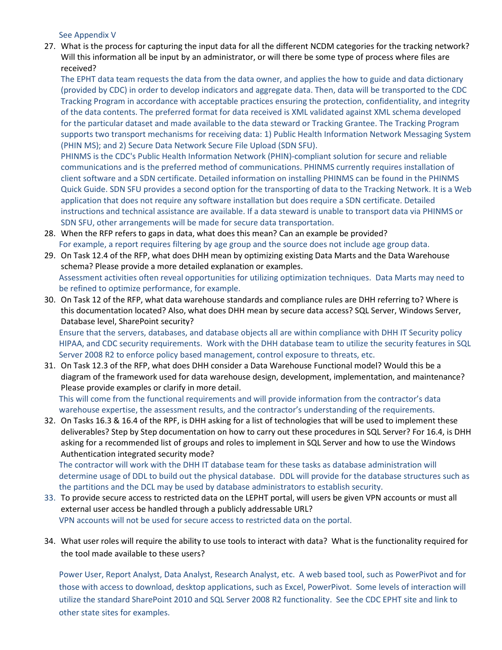See Appendix V

27. What is the process for capturing the input data for all the different NCDM categories for the tracking network? Will this information all be input by an administrator, or will there be some type of process where files are received?

The EPHT data team requests the data from the data owner, and applies the how to guide and data dictionary (provided by CDC) in order to develop indicators and aggregate data. Then, data will be transported to the CDC Tracking Program in accordance with acceptable practices ensuring the protection, confidentiality, and integrity of the data contents. The preferred format for data received is XML validated against XML schema developed for the particular dataset and made available to the data steward or Tracking Grantee. The Tracking Program supports two transport mechanisms for receiving data: 1) Public Health Information Network Messaging System (PHIN MS); and 2) Secure Data Network Secure File Upload (SDN SFU).

PHINMS is the CDC's Public Health Information Network (PHIN)-compliant solution for secure and reliable communications and is the preferred method of communications. PHINMS currently requires installation of client software and a SDN certificate. Detailed information on installing PHINMS can be found in the PHINMS Quick Guide. SDN SFU provides a second option for the transporting of data to the Tracking Network. It is a Web application that does not require any software installation but does require a SDN certificate. Detailed instructions and technical assistance are available. If a data steward is unable to transport data via PHINMS or SDN SFU, other arrangements will be made for secure data transportation.

- 28. When the RFP refers to gaps in data, what does this mean? Can an example be provided? For example, a report requires filtering by age group and the source does not include age group data.
- 29. On Task 12.4 of the RFP, what does DHH mean by optimizing existing Data Marts and the Data Warehouse schema? Please provide a more detailed explanation or examples. Assessment activities often reveal opportunities for utilizing optimization techniques. Data Marts may need to be refined to optimize performance, for example.
- 30. On Task 12 of the RFP, what data warehouse standards and compliance rules are DHH referring to? Where is this documentation located? Also, what does DHH mean by secure data access? SQL Server, Windows Server, Database level, SharePoint security?

Ensure that the servers, databases, and database objects all are within compliance with DHH IT Security policy HIPAA, and CDC security requirements. Work with the DHH database team to utilize the security features in SQL Server 2008 R2 to enforce policy based management, control exposure to threats, etc.

31. On Task 12.3 of the RFP, what does DHH consider a Data Warehouse Functional model? Would this be a diagram of the framework used for data warehouse design, development, implementation, and maintenance? Please provide examples or clarify in more detail.

This will come from the functional requirements and will provide information from the contractor's data warehouse expertise, the assessment results, and the contractor's understanding of the requirements.

32. On Tasks 16.3 & 16.4 of the RPF, is DHH asking for a list of technologies that will be used to implement these deliverables? Step by Step documentation on how to carry out these procedures in SQL Server? For 16.4, is DHH asking for a recommended list of groups and roles to implement in SQL Server and how to use the Windows Authentication integrated security mode?

The contractor will work with the DHH IT database team for these tasks as database administration will determine usage of DDL to build out the physical database. DDL will provide for the database structures such as the partitions and the DCL may be used by database administrators to establish security.

- 33. To provide secure access to restricted data on the LEPHT portal, will users be given VPN accounts or must all external user access be handled through a publicly addressable URL? VPN accounts will not be used for secure access to restricted data on the portal.
- 34. What user roles will require the ability to use tools to interact with data? What is the functionality required for the tool made available to these users?

Power User, Report Analyst, Data Analyst, Research Analyst, etc. A web based tool, such as PowerPivot and for those with access to download, desktop applications, such as Excel, PowerPivot. Some levels of interaction will utilize the standard SharePoint 2010 and SQL Server 2008 R2 functionality. See the CDC EPHT site and link to other state sites for examples.